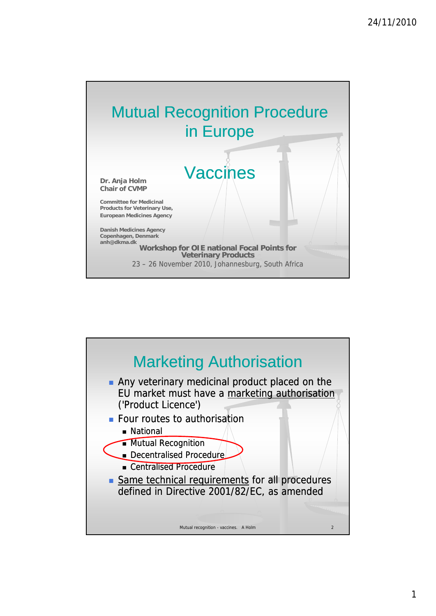

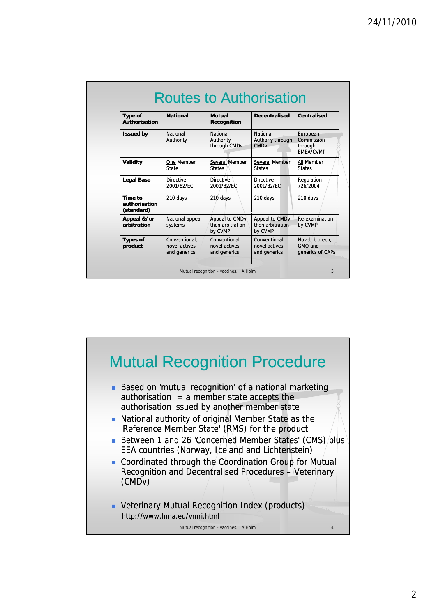| <b>Type of</b><br><b>Authorisation</b> | <b>National</b>                                | <b>Mutual</b><br><b>Recognition</b>                      | <b>Decentralised</b>                                   | <b>Centralised</b>                                    |
|----------------------------------------|------------------------------------------------|----------------------------------------------------------|--------------------------------------------------------|-------------------------------------------------------|
| <b>Issued by</b>                       | National<br>Authority                          | <b>National</b><br>Authority<br>through CMD <sub>v</sub> | National<br>Authoriy through<br><b>CMD<sub>v</sub></b> | European<br>Commission<br>through<br><b>EMEA/CVMP</b> |
| <b>Validity</b>                        | One Member<br>State                            | Several Member<br><b>States</b>                          | Several Member<br><b>States</b>                        | All Member<br><b>States</b>                           |
| <b>Legal Base</b>                      | <b>Directive</b><br>2001/82/EC                 | <b>Directive</b><br>2001/82/EC                           | <b>Directive</b><br>2001/82/EC                         | Regulation<br>726/2004                                |
| Time to<br>authorisation<br>(standard) | 210 days                                       | 210 days                                                 | 210 days                                               | 210 days                                              |
| Appeal &/or<br>arbitration             | National appeal<br>systems                     | Appeal to CMDv<br>then arbitration<br>by CVMP            | Appeal to CMDv<br>then arbitration<br>by CVMP          | Re-examination<br>by CVMP                             |
| <b>Types of</b><br>product             | Conventional.<br>novel actives<br>and generics | Conventional.<br>novel actives<br>and generics           | Conventional.<br>novel actives<br>and generics         | Novel, biotech,<br>GMO and<br>generics of CAPs        |

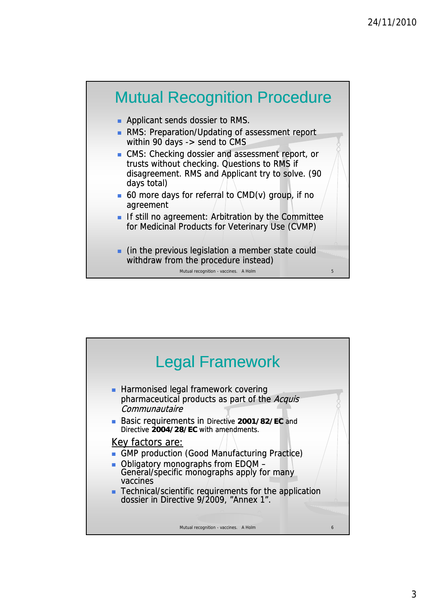

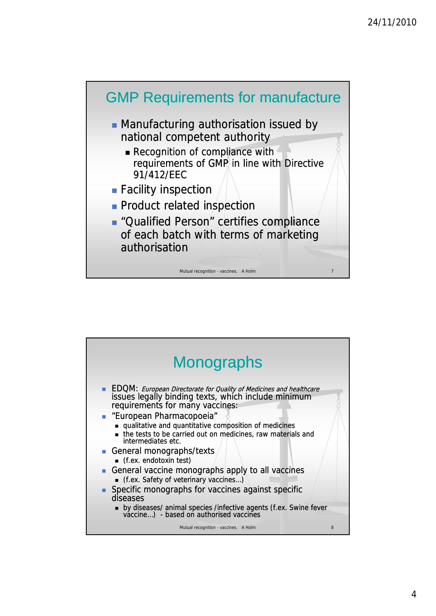

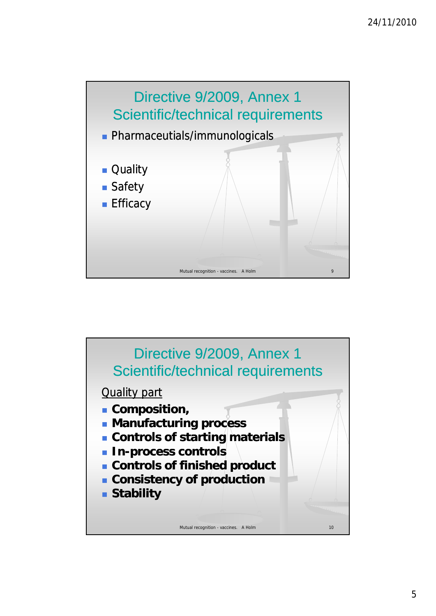

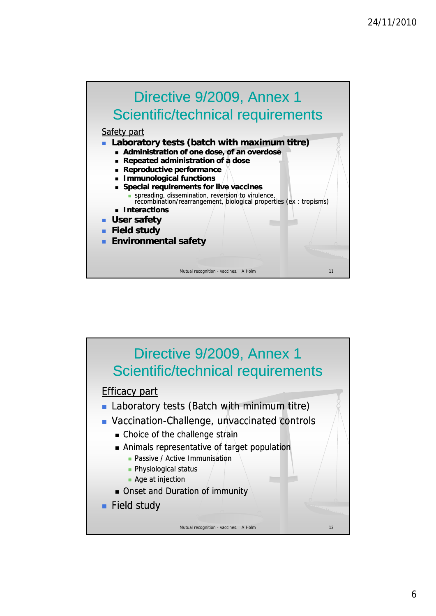

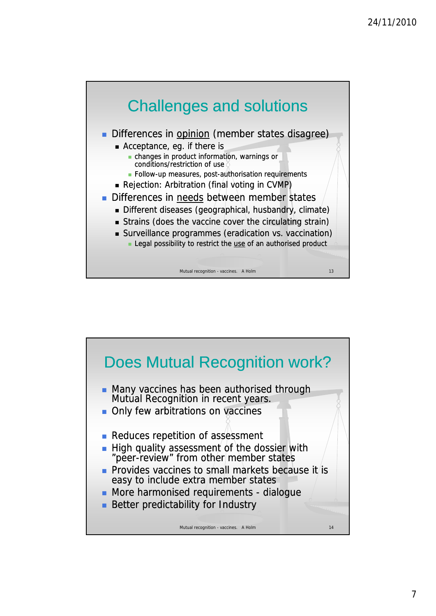

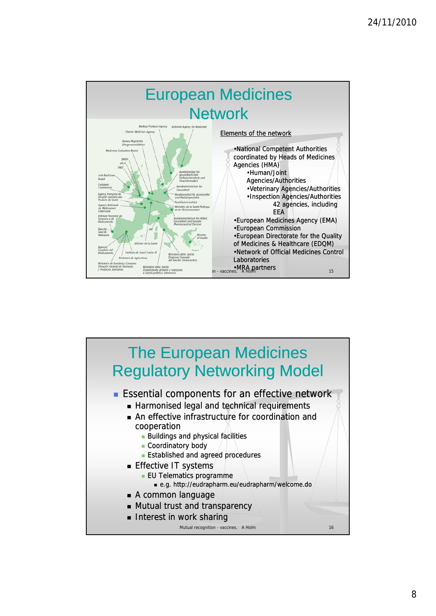

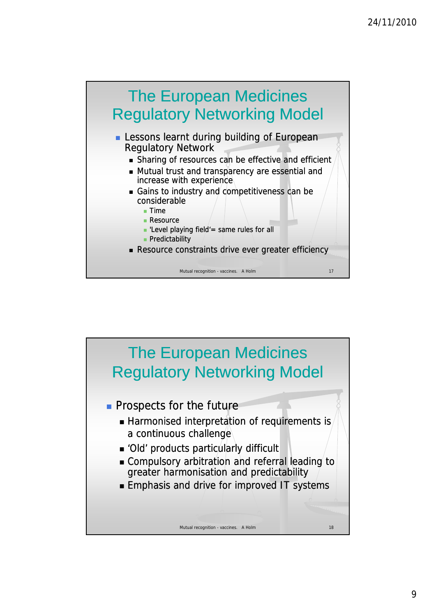